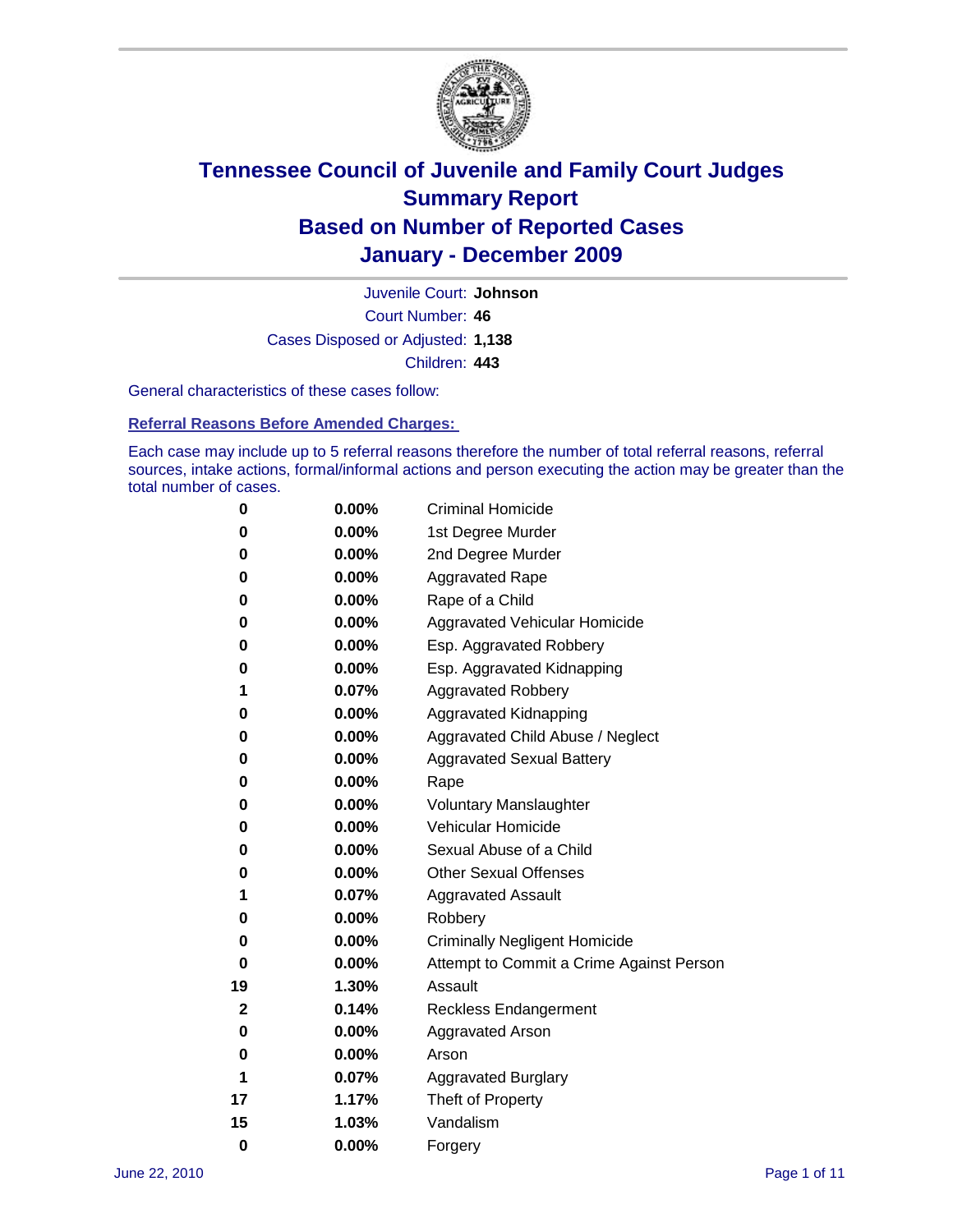

Court Number: **46** Juvenile Court: **Johnson** Cases Disposed or Adjusted: **1,138** Children: **443**

General characteristics of these cases follow:

**Referral Reasons Before Amended Charges:** 

Each case may include up to 5 referral reasons therefore the number of total referral reasons, referral sources, intake actions, formal/informal actions and person executing the action may be greater than the total number of cases.

| 0  | 0.00%    | <b>Criminal Homicide</b>                 |
|----|----------|------------------------------------------|
| 0  | 0.00%    | 1st Degree Murder                        |
| 0  | 0.00%    | 2nd Degree Murder                        |
| 0  | 0.00%    | <b>Aggravated Rape</b>                   |
| 0  | 0.00%    | Rape of a Child                          |
| 0  | 0.00%    | Aggravated Vehicular Homicide            |
| 0  | 0.00%    | Esp. Aggravated Robbery                  |
| 0  | 0.00%    | Esp. Aggravated Kidnapping               |
| 1  | 0.07%    | <b>Aggravated Robbery</b>                |
| 0  | 0.00%    | Aggravated Kidnapping                    |
| 0  | 0.00%    | Aggravated Child Abuse / Neglect         |
| 0  | 0.00%    | <b>Aggravated Sexual Battery</b>         |
| 0  | 0.00%    | Rape                                     |
| 0  | 0.00%    | <b>Voluntary Manslaughter</b>            |
| 0  | 0.00%    | Vehicular Homicide                       |
| 0  | 0.00%    | Sexual Abuse of a Child                  |
| 0  | 0.00%    | <b>Other Sexual Offenses</b>             |
| 1  | 0.07%    | <b>Aggravated Assault</b>                |
| 0  | $0.00\%$ | Robbery                                  |
| 0  | 0.00%    | <b>Criminally Negligent Homicide</b>     |
| 0  | 0.00%    | Attempt to Commit a Crime Against Person |
| 19 | 1.30%    | Assault                                  |
| 2  | 0.14%    | <b>Reckless Endangerment</b>             |
| 0  | 0.00%    | <b>Aggravated Arson</b>                  |
| 0  | 0.00%    | Arson                                    |
| 1  | 0.07%    | <b>Aggravated Burglary</b>               |
| 17 | 1.17%    | Theft of Property                        |
| 15 | 1.03%    | Vandalism                                |
| 0  | 0.00%    | Forgery                                  |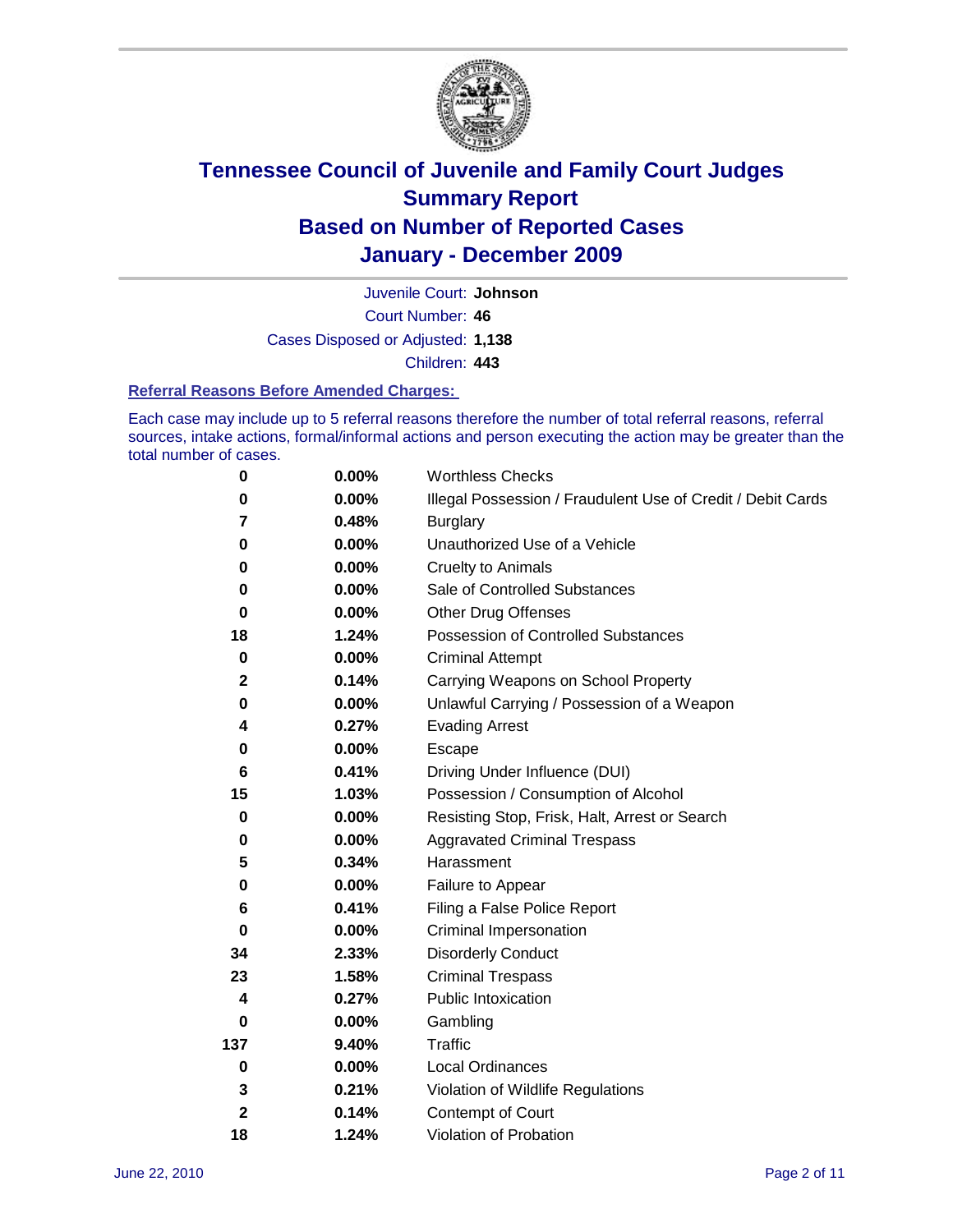

Court Number: **46** Juvenile Court: **Johnson** Cases Disposed or Adjusted: **1,138** Children: **443**

#### **Referral Reasons Before Amended Charges:**

Each case may include up to 5 referral reasons therefore the number of total referral reasons, referral sources, intake actions, formal/informal actions and person executing the action may be greater than the total number of cases.

| $\pmb{0}$    | 0.00%    | <b>Worthless Checks</b>                                     |
|--------------|----------|-------------------------------------------------------------|
| 0            | 0.00%    | Illegal Possession / Fraudulent Use of Credit / Debit Cards |
| 7            | 0.48%    | <b>Burglary</b>                                             |
| 0            | $0.00\%$ | Unauthorized Use of a Vehicle                               |
| 0            | $0.00\%$ | <b>Cruelty to Animals</b>                                   |
| 0            | $0.00\%$ | Sale of Controlled Substances                               |
| 0            | $0.00\%$ | <b>Other Drug Offenses</b>                                  |
| 18           | 1.24%    | Possession of Controlled Substances                         |
| $\mathbf 0$  | $0.00\%$ | <b>Criminal Attempt</b>                                     |
| $\mathbf 2$  | 0.14%    | Carrying Weapons on School Property                         |
| 0            | 0.00%    | Unlawful Carrying / Possession of a Weapon                  |
| 4            | 0.27%    | <b>Evading Arrest</b>                                       |
| 0            | 0.00%    | Escape                                                      |
| 6            | 0.41%    | Driving Under Influence (DUI)                               |
| 15           | 1.03%    | Possession / Consumption of Alcohol                         |
| 0            | 0.00%    | Resisting Stop, Frisk, Halt, Arrest or Search               |
| 0            | $0.00\%$ | <b>Aggravated Criminal Trespass</b>                         |
| 5            | 0.34%    | Harassment                                                  |
| 0            | 0.00%    | Failure to Appear                                           |
| 6            | 0.41%    | Filing a False Police Report                                |
| $\bf{0}$     | 0.00%    | Criminal Impersonation                                      |
| 34           | 2.33%    | <b>Disorderly Conduct</b>                                   |
| 23           | 1.58%    | <b>Criminal Trespass</b>                                    |
| 4            | 0.27%    | Public Intoxication                                         |
| 0            | $0.00\%$ | Gambling                                                    |
| 137          | 9.40%    | Traffic                                                     |
| $\mathbf 0$  | $0.00\%$ | Local Ordinances                                            |
| 3            | 0.21%    | Violation of Wildlife Regulations                           |
| $\mathbf{2}$ | 0.14%    | Contempt of Court                                           |
| 18           | 1.24%    | Violation of Probation                                      |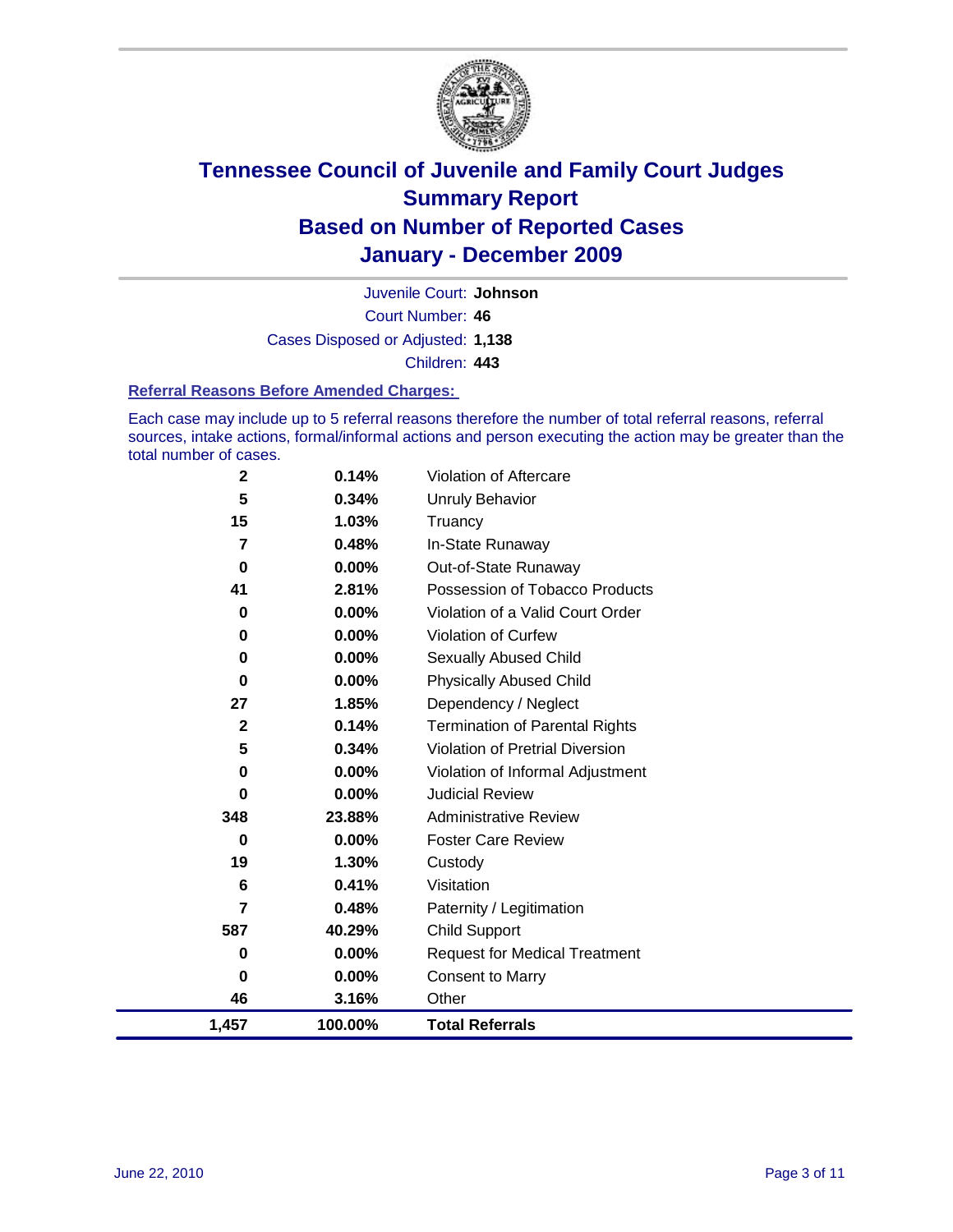

Court Number: **46** Juvenile Court: **Johnson** Cases Disposed or Adjusted: **1,138** Children: **443**

#### **Referral Reasons Before Amended Charges:**

Each case may include up to 5 referral reasons therefore the number of total referral reasons, referral sources, intake actions, formal/informal actions and person executing the action may be greater than the total number of cases.

| 1,457          | 100.00%  | <b>Total Referrals</b>                 |
|----------------|----------|----------------------------------------|
| 46             | 3.16%    | Other                                  |
| 0              | 0.00%    | <b>Consent to Marry</b>                |
| 0              | 0.00%    | <b>Request for Medical Treatment</b>   |
| 587            | 40.29%   | <b>Child Support</b>                   |
| 7              | 0.48%    | Paternity / Legitimation               |
| 6              | 0.41%    | Visitation                             |
| 19             | 1.30%    | Custody                                |
| 0              | 0.00%    | <b>Foster Care Review</b>              |
| 348            | 23.88%   | <b>Administrative Review</b>           |
| 0              | $0.00\%$ | <b>Judicial Review</b>                 |
| 0              | 0.00%    | Violation of Informal Adjustment       |
| 5              | 0.34%    | <b>Violation of Pretrial Diversion</b> |
| $\mathbf{2}$   | 0.14%    | <b>Termination of Parental Rights</b>  |
| 27             | 1.85%    | Dependency / Neglect                   |
| $\bf{0}$       | 0.00%    | <b>Physically Abused Child</b>         |
| 0              | 0.00%    | Sexually Abused Child                  |
| 0              | $0.00\%$ | Violation of Curfew                    |
| $\bf{0}$       | $0.00\%$ | Violation of a Valid Court Order       |
| 41             | 2.81%    | Possession of Tobacco Products         |
| $\mathbf 0$    | $0.00\%$ | Out-of-State Runaway                   |
| $\overline{7}$ | 0.48%    | In-State Runaway                       |
| 15             | 1.03%    | Truancy                                |
| 5              | 0.34%    | Unruly Behavior                        |
| $\mathbf 2$    | 0.14%    | <b>Violation of Aftercare</b>          |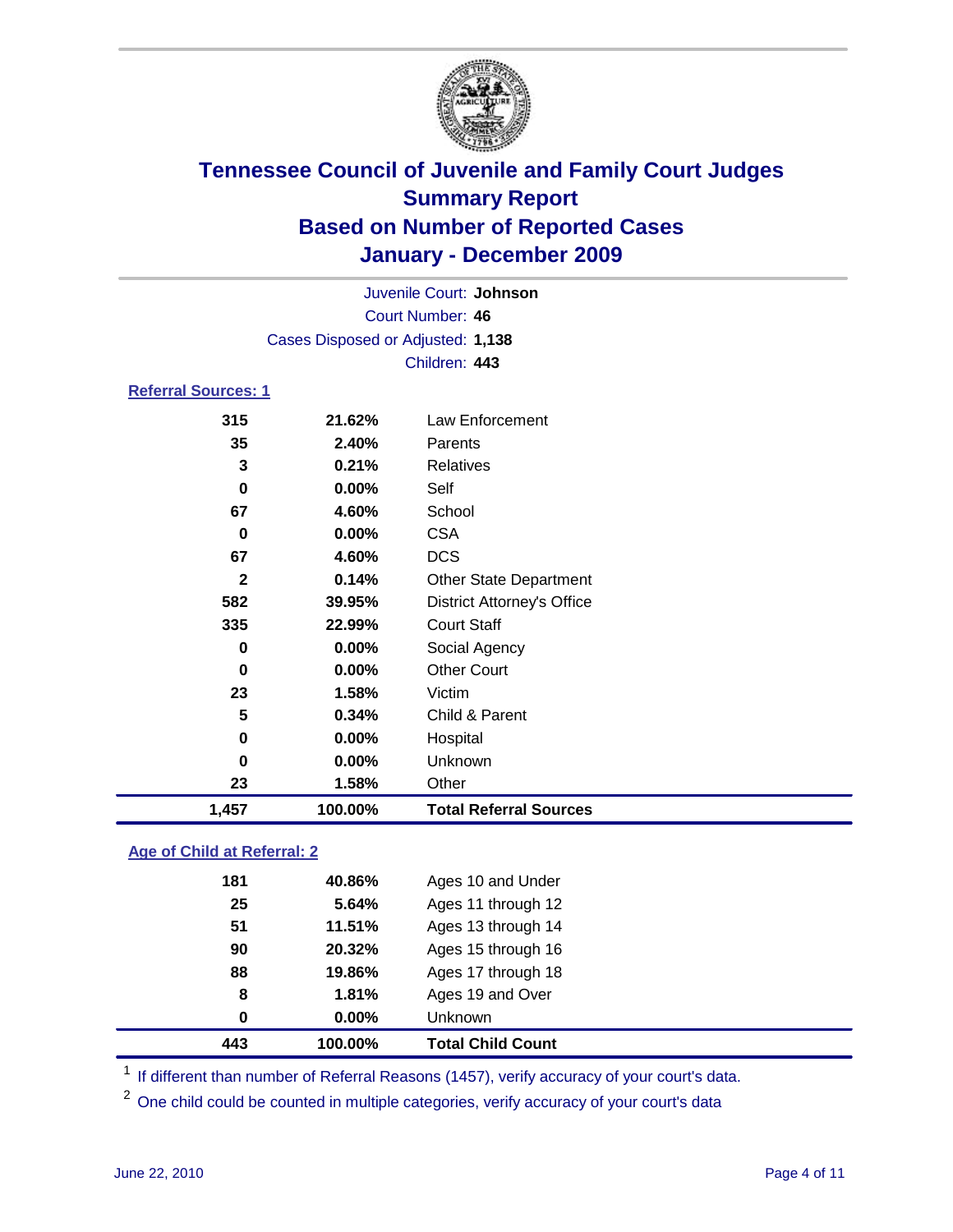

|                            |                                   | Juvenile Court: Johnson           |  |  |
|----------------------------|-----------------------------------|-----------------------------------|--|--|
|                            | Court Number: 46                  |                                   |  |  |
|                            | Cases Disposed or Adjusted: 1,138 |                                   |  |  |
|                            |                                   | Children: 443                     |  |  |
| <b>Referral Sources: 1</b> |                                   |                                   |  |  |
| 315                        | 21.62%                            | Law Enforcement                   |  |  |
| 35                         | 2.40%                             | Parents                           |  |  |
| 3                          | 0.21%                             | <b>Relatives</b>                  |  |  |
| 0                          | 0.00%                             | Self                              |  |  |
| 67                         | 4.60%                             | School                            |  |  |
| 0                          | 0.00%                             | <b>CSA</b>                        |  |  |
| 67                         | 4.60%                             | <b>DCS</b>                        |  |  |
| $\mathbf{2}$               | 0.14%                             | <b>Other State Department</b>     |  |  |
| 582                        | 39.95%                            | <b>District Attorney's Office</b> |  |  |
| 335                        | 22.99%                            | <b>Court Staff</b>                |  |  |
| 0                          | 0.00%                             | Social Agency                     |  |  |
| $\bf{0}$                   | 0.00%                             | <b>Other Court</b>                |  |  |
| 23                         | 1.58%                             | Victim                            |  |  |
| 5                          | 0.34%                             | Child & Parent                    |  |  |
| 0                          | 0.00%                             | Hospital                          |  |  |
| 0                          | 0.00%                             | Unknown                           |  |  |
| 23                         | 1.58%                             | Other                             |  |  |
| 1,457                      | 100.00%                           | <b>Total Referral Sources</b>     |  |  |

### **Age of Child at Referral: 2**

| 443 | 100.00% | <b>Total Child Count</b> |
|-----|---------|--------------------------|
| 0   | 0.00%   | Unknown                  |
| 8   | 1.81%   | Ages 19 and Over         |
| 88  | 19.86%  | Ages 17 through 18       |
| 90  | 20.32%  | Ages 15 through 16       |
| 51  | 11.51%  | Ages 13 through 14       |
| 25  | 5.64%   | Ages 11 through 12       |
| 181 | 40.86%  | Ages 10 and Under        |
|     |         |                          |

<sup>1</sup> If different than number of Referral Reasons (1457), verify accuracy of your court's data.

<sup>2</sup> One child could be counted in multiple categories, verify accuracy of your court's data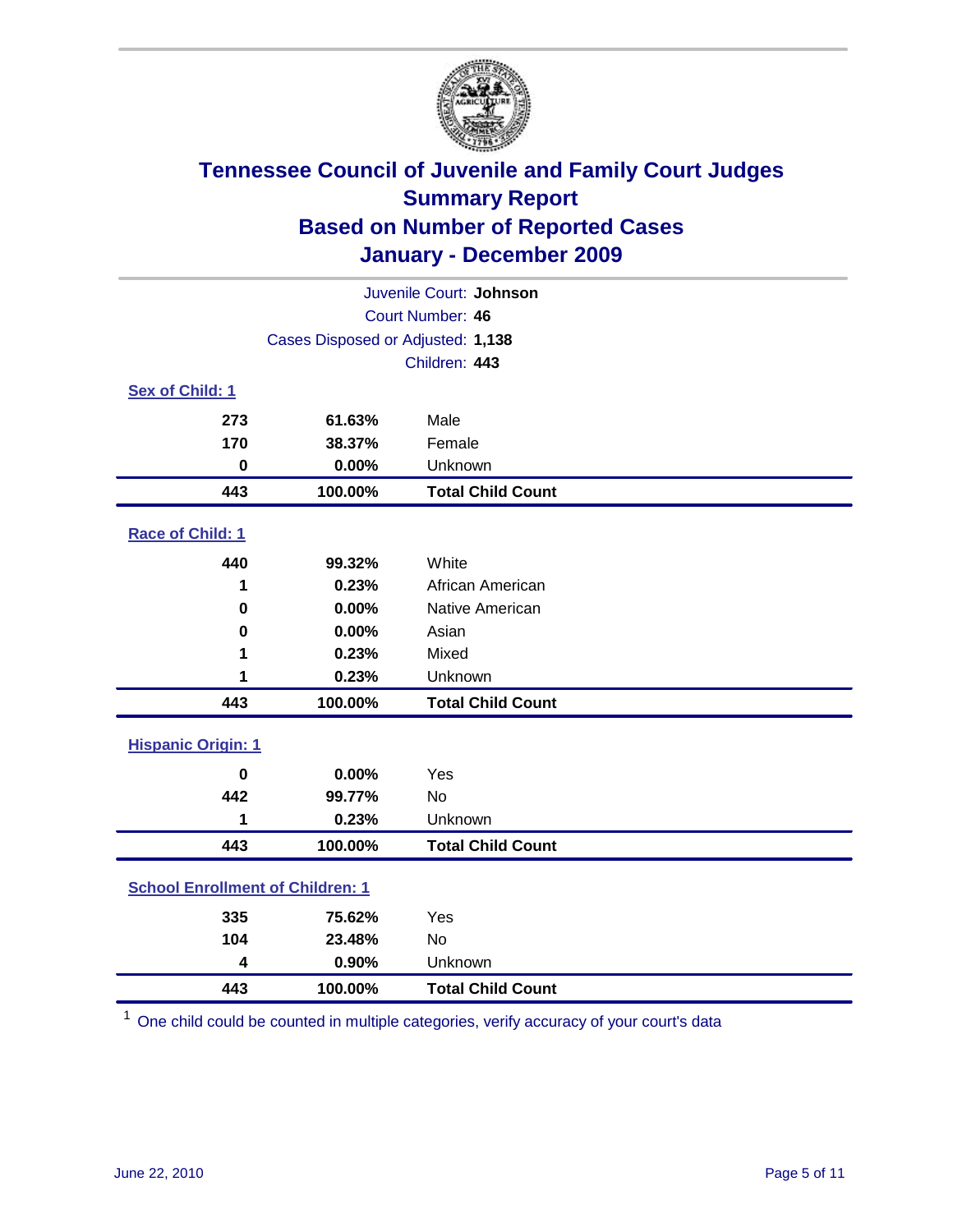

| Juvenile Court: Johnson                 |                                   |                          |  |  |  |
|-----------------------------------------|-----------------------------------|--------------------------|--|--|--|
| Court Number: 46                        |                                   |                          |  |  |  |
|                                         | Cases Disposed or Adjusted: 1,138 |                          |  |  |  |
|                                         |                                   | Children: 443            |  |  |  |
| Sex of Child: 1                         |                                   |                          |  |  |  |
| 273                                     | 61.63%                            | Male                     |  |  |  |
| 170                                     | 38.37%                            | Female                   |  |  |  |
| $\mathbf 0$                             | 0.00%                             | Unknown                  |  |  |  |
| 443                                     | 100.00%                           | <b>Total Child Count</b> |  |  |  |
| Race of Child: 1                        |                                   |                          |  |  |  |
| 440                                     | 99.32%                            | White                    |  |  |  |
| 1                                       | 0.23%                             | African American         |  |  |  |
| 0                                       | 0.00%                             | Native American          |  |  |  |
| $\mathbf 0$                             | 0.00%                             | Asian                    |  |  |  |
| 1                                       | 0.23%                             | Mixed                    |  |  |  |
| 1                                       | 0.23%                             | Unknown                  |  |  |  |
| 443                                     | 100.00%                           | <b>Total Child Count</b> |  |  |  |
| <b>Hispanic Origin: 1</b>               |                                   |                          |  |  |  |
| $\mathbf 0$                             | 0.00%                             | Yes                      |  |  |  |
| 442                                     | 99.77%                            | No                       |  |  |  |
| 1                                       | 0.23%                             | Unknown                  |  |  |  |
| 443                                     | 100.00%                           | <b>Total Child Count</b> |  |  |  |
| <b>School Enrollment of Children: 1</b> |                                   |                          |  |  |  |
| 335                                     | 75.62%                            | Yes                      |  |  |  |
| 104                                     | 23.48%                            | No                       |  |  |  |
| 4                                       | 0.90%                             | Unknown                  |  |  |  |
| 443                                     | 100.00%                           | <b>Total Child Count</b> |  |  |  |

One child could be counted in multiple categories, verify accuracy of your court's data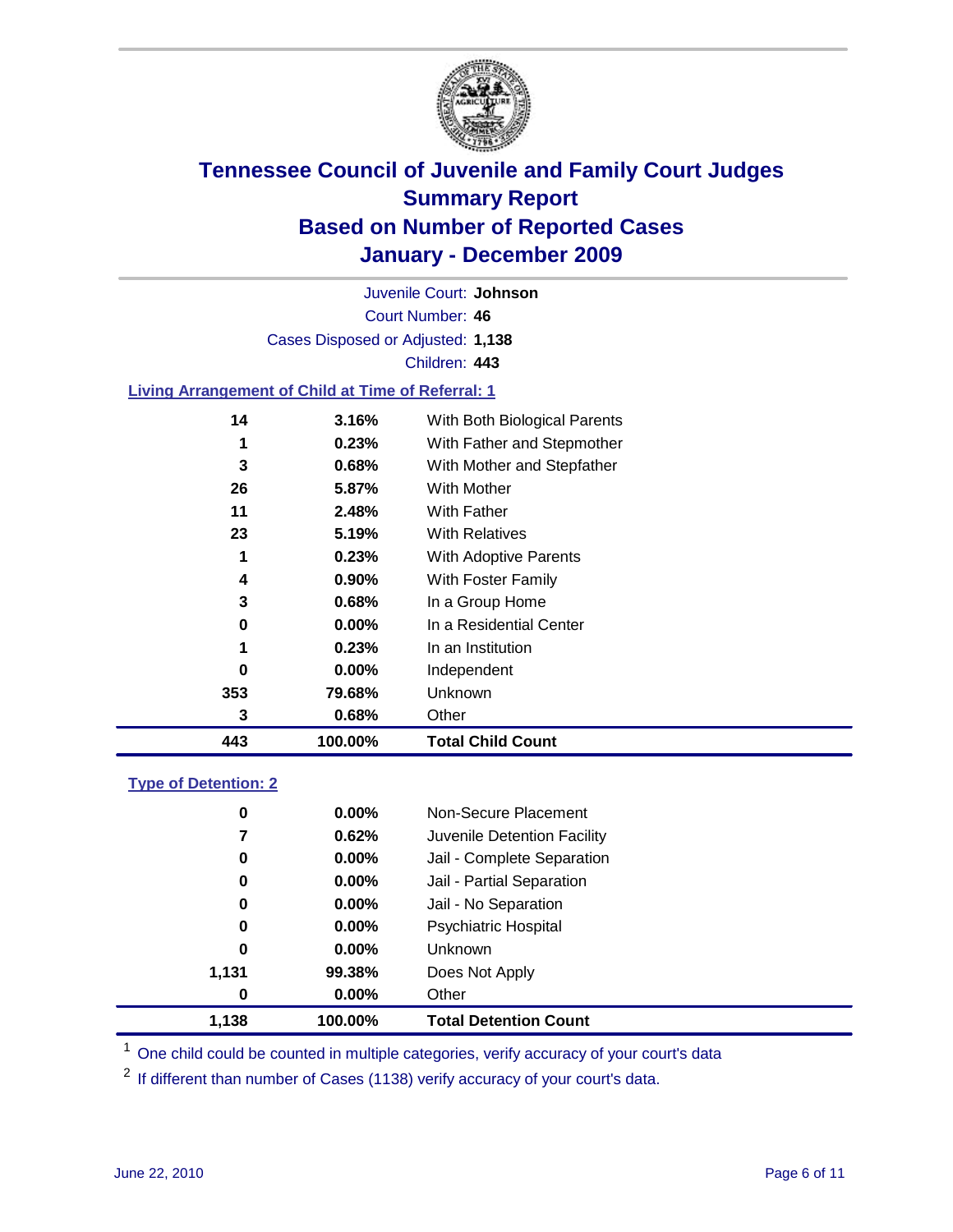

Court Number: **46** Juvenile Court: **Johnson** Cases Disposed or Adjusted: **1,138** Children: **443**

### **Living Arrangement of Child at Time of Referral: 1**

|     |          | <b>Total Child Count</b>     |
|-----|----------|------------------------------|
| 3   | 0.68%    | Other                        |
| 353 | 79.68%   | Unknown                      |
| 0   | $0.00\%$ | Independent                  |
|     | 0.23%    | In an Institution            |
| 0   | $0.00\%$ | In a Residential Center      |
| 3   | 0.68%    | In a Group Home              |
| 4   | $0.90\%$ | With Foster Family           |
| 1   | 0.23%    | With Adoptive Parents        |
| 23  | 5.19%    | <b>With Relatives</b>        |
| 11  | 2.48%    | With Father                  |
| 26  | 5.87%    | <b>With Mother</b>           |
| 3   | 0.68%    | With Mother and Stepfather   |
| 1   | 0.23%    | With Father and Stepmother   |
| 14  | 3.16%    | With Both Biological Parents |
|     |          | 100.00%                      |

#### **Type of Detention: 2**

| 1.138 | 100.00%  | <b>Total Detention Count</b> |
|-------|----------|------------------------------|
| 0     | 0.00%    | Other                        |
| 1,131 | 99.38%   | Does Not Apply               |
| 0     | $0.00\%$ | Unknown                      |
| 0     | $0.00\%$ | Psychiatric Hospital         |
| 0     | 0.00%    | Jail - No Separation         |
| 0     | $0.00\%$ | Jail - Partial Separation    |
| 0     | 0.00%    | Jail - Complete Separation   |
| 7     | 0.62%    | Juvenile Detention Facility  |
| 0     | $0.00\%$ | Non-Secure Placement         |
|       |          |                              |

<sup>1</sup> One child could be counted in multiple categories, verify accuracy of your court's data

<sup>2</sup> If different than number of Cases (1138) verify accuracy of your court's data.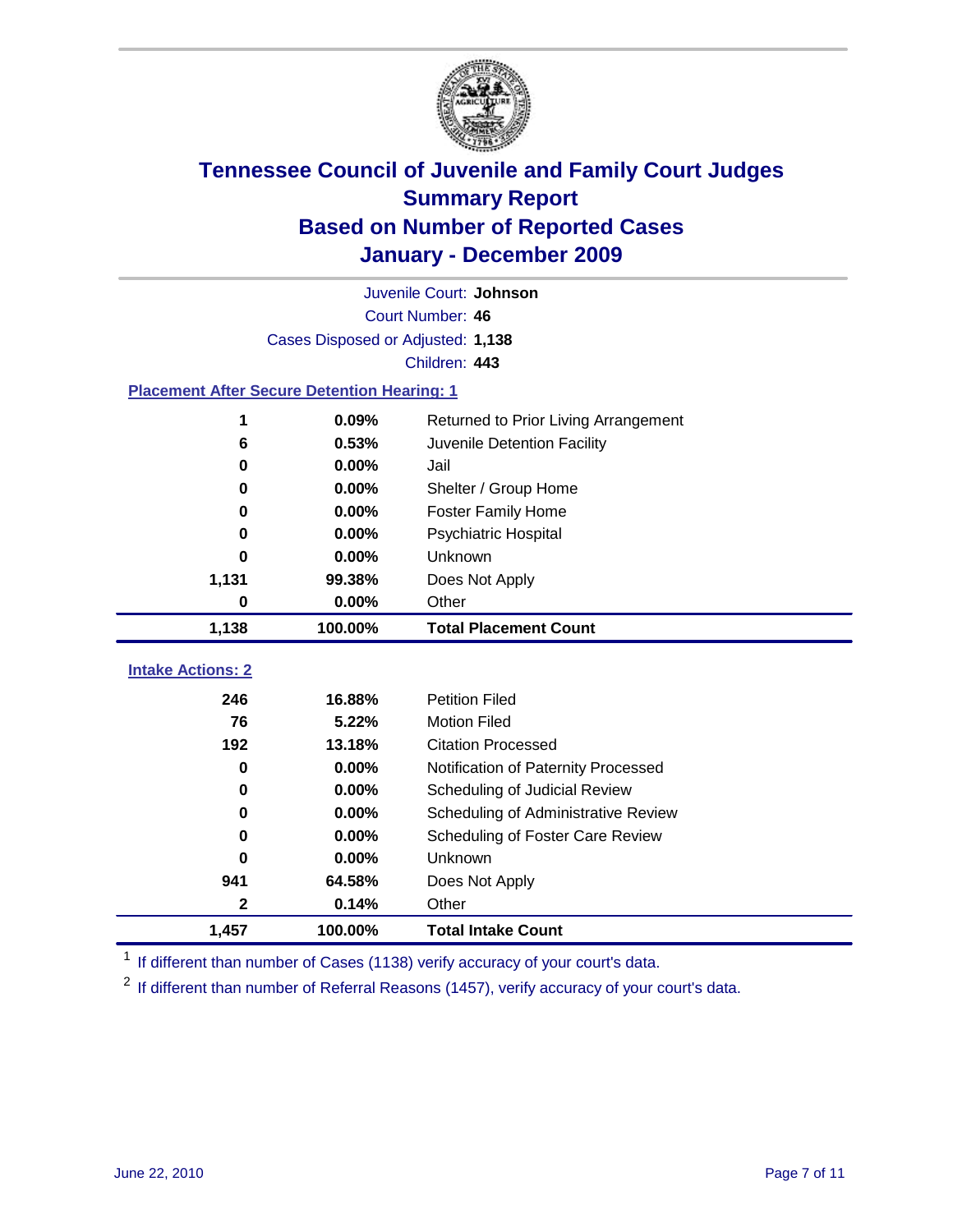

|                                                    | Juvenile Court: Johnson           |                                      |  |  |  |
|----------------------------------------------------|-----------------------------------|--------------------------------------|--|--|--|
|                                                    | Court Number: 46                  |                                      |  |  |  |
|                                                    | Cases Disposed or Adjusted: 1,138 |                                      |  |  |  |
|                                                    |                                   | Children: 443                        |  |  |  |
| <b>Placement After Secure Detention Hearing: 1</b> |                                   |                                      |  |  |  |
| 1                                                  | 0.09%                             | Returned to Prior Living Arrangement |  |  |  |
| 6                                                  | 0.53%                             | Juvenile Detention Facility          |  |  |  |
| $\bf{0}$                                           | 0.00%                             | Jail                                 |  |  |  |
| 0                                                  | 0.00%                             | Shelter / Group Home                 |  |  |  |
| 0                                                  | 0.00%                             | <b>Foster Family Home</b>            |  |  |  |
| 0                                                  | 0.00%                             | Psychiatric Hospital                 |  |  |  |
| U                                                  | 0.00%                             | Unknown                              |  |  |  |
| 1,131                                              | 99.38%                            | Does Not Apply                       |  |  |  |
| $\mathbf 0$                                        | 0.00%                             | Other                                |  |  |  |
| 1,138                                              | 100.00%                           | <b>Total Placement Count</b>         |  |  |  |
| <b>Intake Actions: 2</b>                           |                                   |                                      |  |  |  |
|                                                    |                                   |                                      |  |  |  |
| 246                                                | 16.88%                            | <b>Petition Filed</b>                |  |  |  |
| 76                                                 | 5.22%                             | <b>Motion Filed</b>                  |  |  |  |
| 192                                                | 13.18%                            | <b>Citation Processed</b>            |  |  |  |
| $\bf{0}$                                           | 0.00%                             | Notification of Paternity Processed  |  |  |  |
| $\bf{0}$                                           | 0.00%                             | Scheduling of Judicial Review        |  |  |  |
| $\bf{0}$                                           | 0.00%                             | Scheduling of Administrative Review  |  |  |  |
| 0                                                  | 0.00%                             | Scheduling of Foster Care Review     |  |  |  |
| 0                                                  | 0.00%                             | Unknown                              |  |  |  |
| 941                                                | 64.58%                            | Does Not Apply                       |  |  |  |
| $\mathbf{2}$                                       | 0.14%                             | Other                                |  |  |  |
| 1,457                                              | 100.00%                           | <b>Total Intake Count</b>            |  |  |  |

<sup>1</sup> If different than number of Cases (1138) verify accuracy of your court's data.

<sup>2</sup> If different than number of Referral Reasons (1457), verify accuracy of your court's data.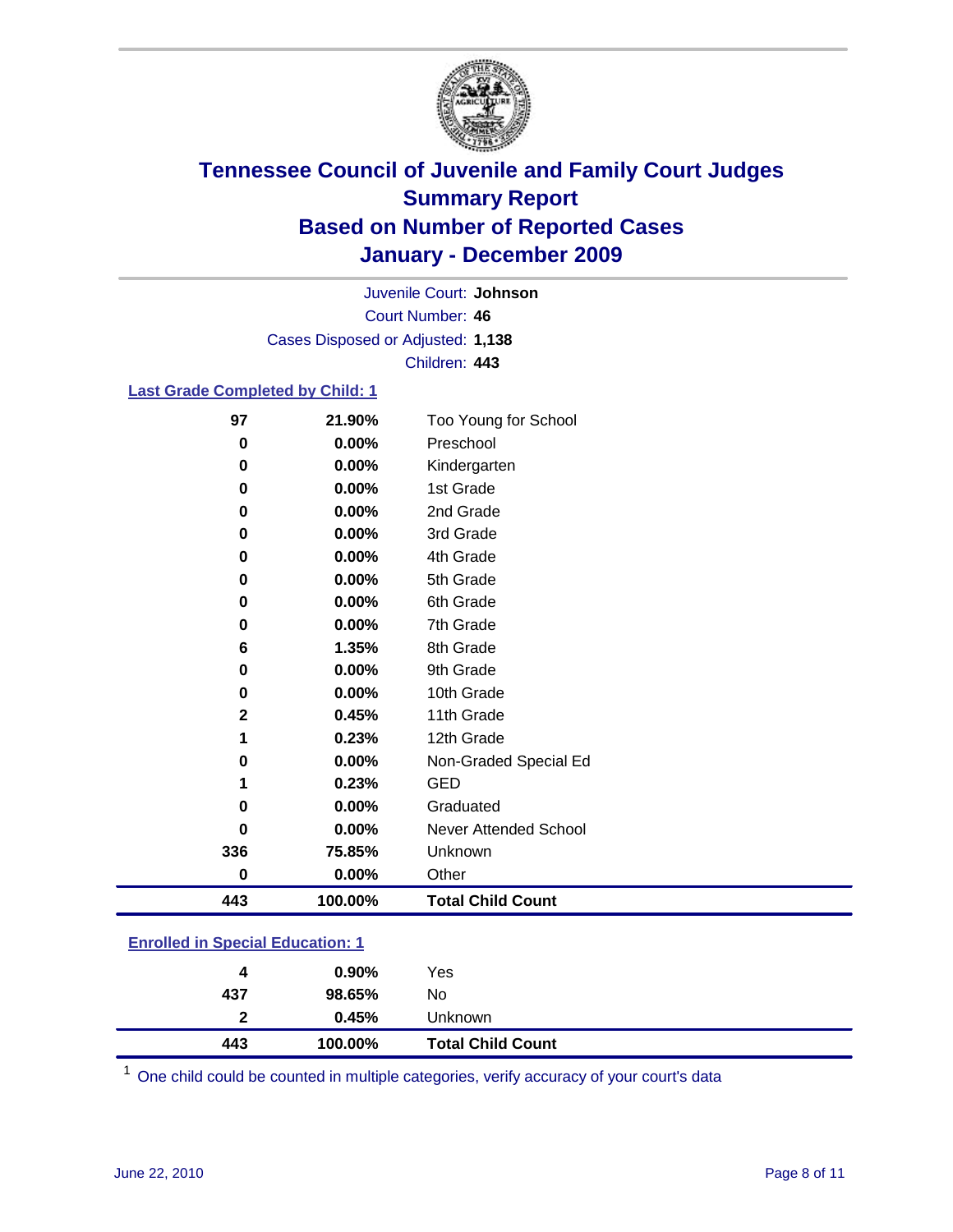

Court Number: **46** Juvenile Court: **Johnson** Cases Disposed or Adjusted: **1,138** Children: **443**

### **Last Grade Completed by Child: 1**

| 97       | 21.90%   | Too Young for School     |
|----------|----------|--------------------------|
| $\bf{0}$ | $0.00\%$ | Preschool                |
| 0        | 0.00%    | Kindergarten             |
| 0        | $0.00\%$ | 1st Grade                |
| 0        | 0.00%    | 2nd Grade                |
| 0        | 0.00%    | 3rd Grade                |
| 0        | 0.00%    | 4th Grade                |
| 0        | $0.00\%$ | 5th Grade                |
| 0        | 0.00%    | 6th Grade                |
| 0        | $0.00\%$ | 7th Grade                |
| 6        | 1.35%    | 8th Grade                |
| 0        | 0.00%    | 9th Grade                |
| 0        | $0.00\%$ | 10th Grade               |
| 2        | 0.45%    | 11th Grade               |
| 1        | 0.23%    | 12th Grade               |
| 0        | $0.00\%$ | Non-Graded Special Ed    |
| 1        | 0.23%    | <b>GED</b>               |
| 0        | 0.00%    | Graduated                |
| 0        | 0.00%    | Never Attended School    |
| 336      | 75.85%   | Unknown                  |
| 0        | 0.00%    | Other                    |
| 443      | 100.00%  | <b>Total Child Count</b> |

### **Enrolled in Special Education: 1**

| 4            | $0.90\%$ | Yes                      |
|--------------|----------|--------------------------|
| 437          | 98.65%   | No                       |
| $\mathbf{p}$ | 0.45%    | <b>Unknown</b>           |
| 443          | 100.00%  | <b>Total Child Count</b> |

One child could be counted in multiple categories, verify accuracy of your court's data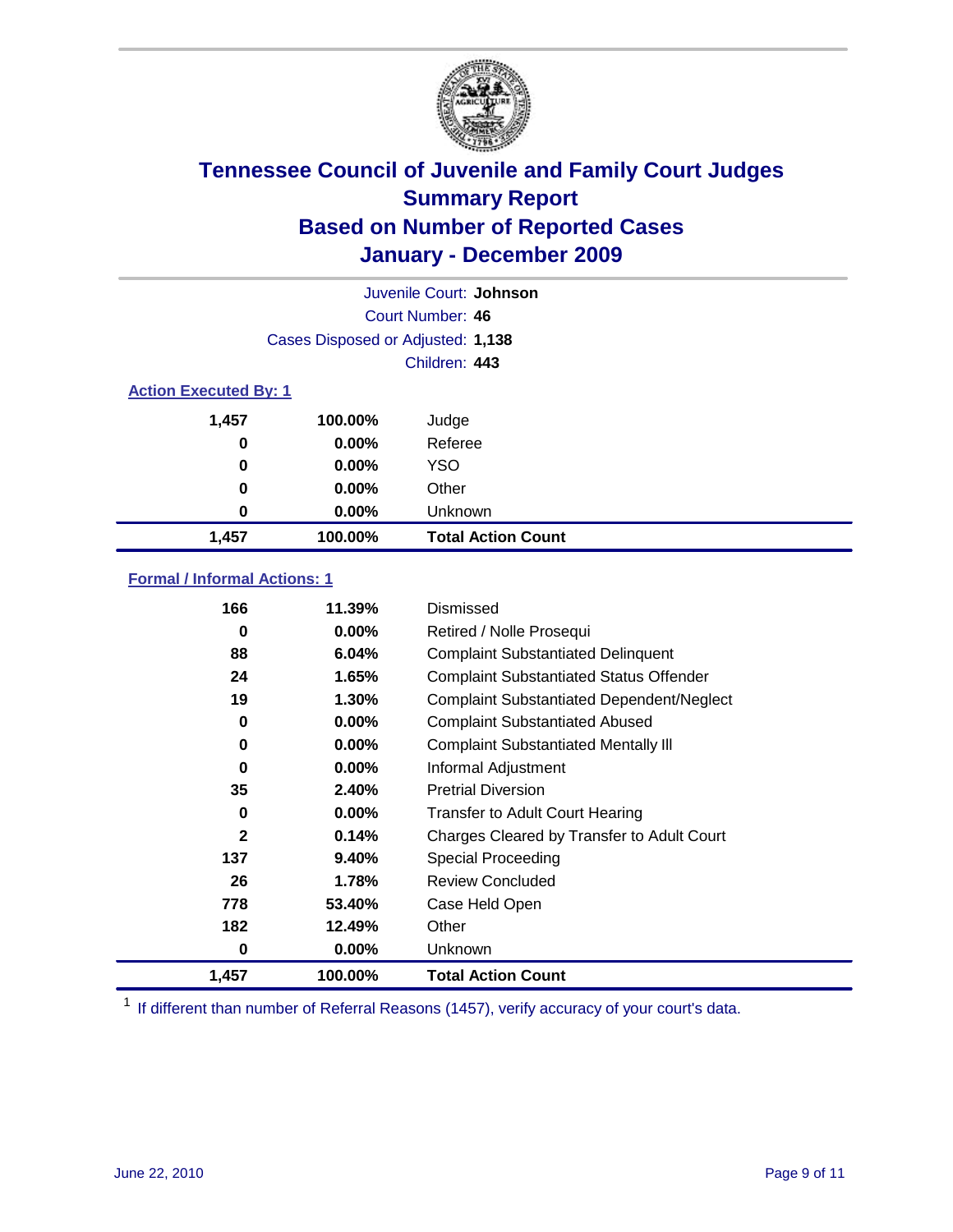

| Juvenile Court: Johnson      |                                   |                           |  |  |  |
|------------------------------|-----------------------------------|---------------------------|--|--|--|
|                              | Court Number: 46                  |                           |  |  |  |
|                              | Cases Disposed or Adjusted: 1,138 |                           |  |  |  |
|                              |                                   | Children: 443             |  |  |  |
| <b>Action Executed By: 1</b> |                                   |                           |  |  |  |
| 1,457                        | 100.00%                           | Judge                     |  |  |  |
| 0                            | $0.00\%$                          | Referee                   |  |  |  |
| 0                            | $0.00\%$                          | <b>YSO</b>                |  |  |  |
| $\bf{0}$                     | 0.00%                             | Other                     |  |  |  |
| 0                            | 0.00%                             | Unknown                   |  |  |  |
| 1,457                        | 100.00%                           | <b>Total Action Count</b> |  |  |  |

### **Formal / Informal Actions: 1**

| 166          | 11.39%   | Dismissed                                        |
|--------------|----------|--------------------------------------------------|
| 0            | $0.00\%$ | Retired / Nolle Prosequi                         |
| 88           | 6.04%    | <b>Complaint Substantiated Delinquent</b>        |
| 24           | 1.65%    | <b>Complaint Substantiated Status Offender</b>   |
| 19           | 1.30%    | <b>Complaint Substantiated Dependent/Neglect</b> |
| 0            | $0.00\%$ | <b>Complaint Substantiated Abused</b>            |
| 0            | $0.00\%$ | <b>Complaint Substantiated Mentally III</b>      |
| 0            | $0.00\%$ | Informal Adjustment                              |
| 35           | 2.40%    | <b>Pretrial Diversion</b>                        |
| 0            | $0.00\%$ | <b>Transfer to Adult Court Hearing</b>           |
| $\mathbf{2}$ | 0.14%    | Charges Cleared by Transfer to Adult Court       |
| 137          | 9.40%    | Special Proceeding                               |
| 26           | 1.78%    | <b>Review Concluded</b>                          |
| 778          | 53.40%   | Case Held Open                                   |
| 182          | 12.49%   | Other                                            |
| 0            | 0.00%    | <b>Unknown</b>                                   |
| 1,457        | 100.00%  | <b>Total Action Count</b>                        |

<sup>1</sup> If different than number of Referral Reasons (1457), verify accuracy of your court's data.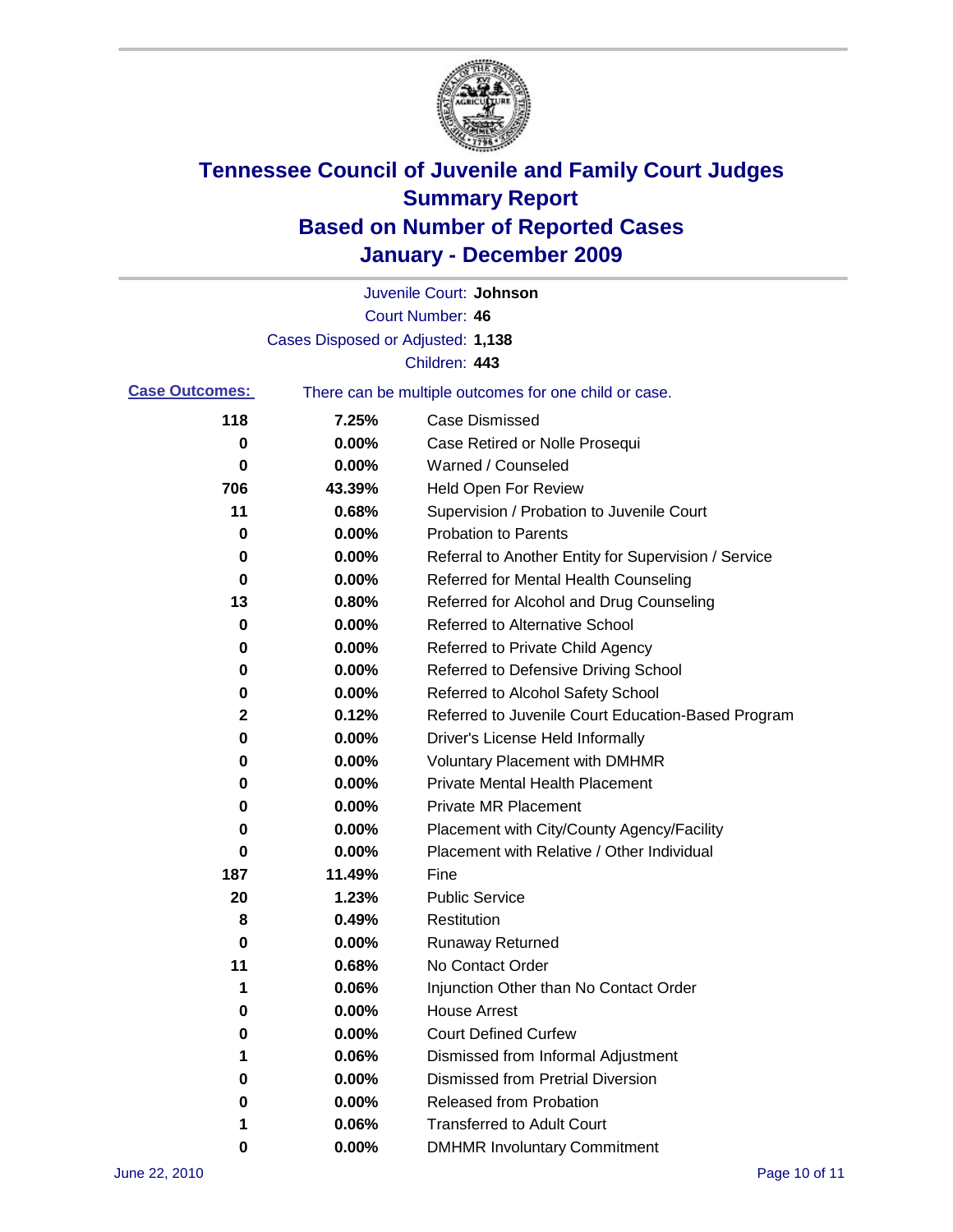

|                       |                                   | Juvenile Court: Johnson                               |
|-----------------------|-----------------------------------|-------------------------------------------------------|
|                       |                                   | Court Number: 46                                      |
|                       | Cases Disposed or Adjusted: 1,138 |                                                       |
|                       |                                   | Children: 443                                         |
| <b>Case Outcomes:</b> |                                   | There can be multiple outcomes for one child or case. |
| 118                   | 7.25%                             | <b>Case Dismissed</b>                                 |
| 0                     | 0.00%                             | Case Retired or Nolle Prosequi                        |
| 0                     | 0.00%                             | Warned / Counseled                                    |
| 706                   | 43.39%                            | <b>Held Open For Review</b>                           |
| 11                    | 0.68%                             | Supervision / Probation to Juvenile Court             |
| 0                     | 0.00%                             | <b>Probation to Parents</b>                           |
| 0                     | 0.00%                             | Referral to Another Entity for Supervision / Service  |
| 0                     | 0.00%                             | Referred for Mental Health Counseling                 |
| 13                    | 0.80%                             | Referred for Alcohol and Drug Counseling              |
| 0                     | 0.00%                             | <b>Referred to Alternative School</b>                 |
| 0                     | 0.00%                             | Referred to Private Child Agency                      |
| 0                     | 0.00%                             | Referred to Defensive Driving School                  |
| 0                     | 0.00%                             | Referred to Alcohol Safety School                     |
| 2                     | 0.12%                             | Referred to Juvenile Court Education-Based Program    |
| 0                     | 0.00%                             | Driver's License Held Informally                      |
| 0                     | 0.00%                             | <b>Voluntary Placement with DMHMR</b>                 |
| 0                     | 0.00%                             | <b>Private Mental Health Placement</b>                |
| 0                     | 0.00%                             | <b>Private MR Placement</b>                           |
| 0                     | 0.00%                             | Placement with City/County Agency/Facility            |
| 0                     | 0.00%                             | Placement with Relative / Other Individual            |
| 187                   | 11.49%                            | Fine                                                  |
| 20                    | 1.23%                             | <b>Public Service</b>                                 |
| 8                     | 0.49%                             | Restitution                                           |
| 0                     | 0.00%                             | <b>Runaway Returned</b>                               |
| 11                    | 0.68%                             | No Contact Order                                      |
| 1                     | 0.06%                             | Injunction Other than No Contact Order                |
| 0                     | 0.00%                             | <b>House Arrest</b>                                   |
| 0                     | 0.00%                             | <b>Court Defined Curfew</b>                           |
| 1                     | 0.06%                             | Dismissed from Informal Adjustment                    |
| 0                     | 0.00%                             | <b>Dismissed from Pretrial Diversion</b>              |
| 0                     | 0.00%                             | <b>Released from Probation</b>                        |
| 1                     | 0.06%                             | <b>Transferred to Adult Court</b>                     |
| 0                     | $0.00\%$                          | <b>DMHMR Involuntary Commitment</b>                   |